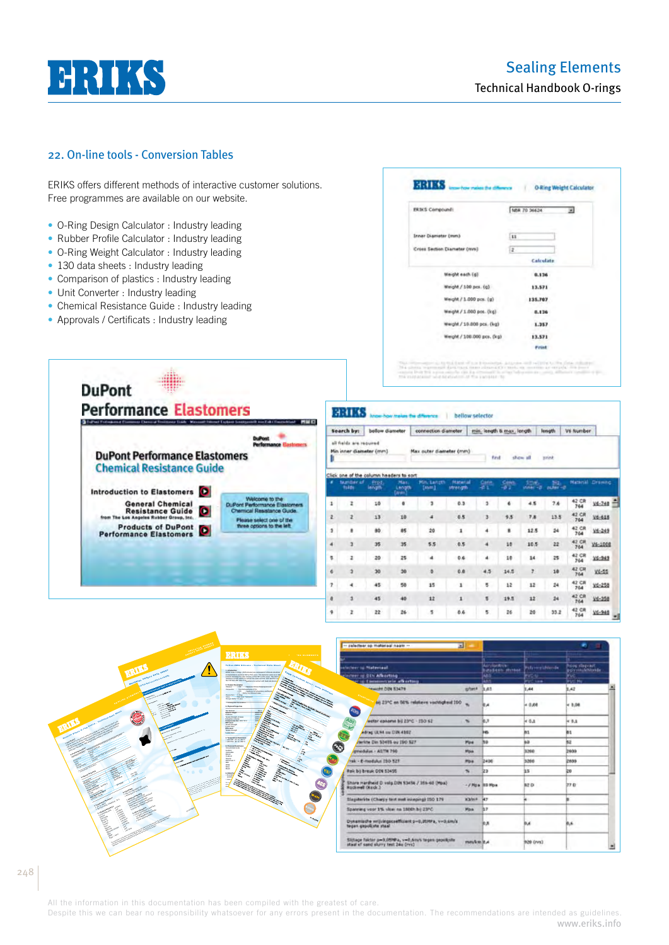# **HRIKS**

## 22. On-line tools - Conversion Tables

ERIKS offers different methods of interactive customer solutions. Free programmes are available on our website.

- O-Ring Design Calculator : Industry leading
- Rubber Profile Calculator : Industry leading
- O-Ring Weight Calculator : Industry leading
- 130 data sheets : Industry leading
- Comparison of plastics : Industry leading
- Unit Converter : Industry leading

**DuPont** 

- Chemical Resistance Guide : Industry leading
- Approvals / Certificats : Industry leading

| <b>ERIKS Compound:</b>      | N8R 70 36624 | ×. |
|-----------------------------|--------------|----|
| Inner Diameter (mm)         | <b>11</b>    |    |
| Cross Section Diameter (WW) | ž.           |    |
|                             | Calculate    |    |
| Weight each (g)             | 0.136        |    |
| Weight / 100 pcs. (g)       | 13.571       |    |
| Weight / 1.000 pcs. (g)     | 135,707      |    |
| Weight / 1.000 pos. (kg)    | 0.136        |    |
| Weight / 10.000 pcs. (kg)   | 1.357        |    |
| Weight / 108.000 pcs. (kg)  | 13,571       |    |
|                             | <b>Print</b> |    |

| <b>Performance Elastomers</b><br>Called Federation Compass Danced Secretary Light Western Henry Lighter Instituted and A Council and NW C |                                                                                      |        | вние                                                |                       |                                      | on how makes the difference |                            | bellow selector           |              |          |                  |                         |            |
|-------------------------------------------------------------------------------------------------------------------------------------------|--------------------------------------------------------------------------------------|--------|-----------------------------------------------------|-----------------------|--------------------------------------|-----------------------------|----------------------------|---------------------------|--------------|----------|------------------|-------------------------|------------|
|                                                                                                                                           |                                                                                      |        | Search by:                                          | bellow diameter       |                                      | connection diameter         |                            | min, length & max, length |              |          | length.          | V6 Number               |            |
| <b>DuPont Performance Elastomers</b>                                                                                                      | <b>DuPont</b><br><b>Performance Elastreses</b>                                       |        | all fields are required.<br>Min inner diameter (mm) |                       |                                      | Max outer diameter (mm)     |                            | First                     |              | show all | <b>HEIGH</b>     |                         |            |
| <b>Chemical Resistance Guide</b>                                                                                                          |                                                                                      |        | Click one of the column headers to sort             |                       |                                      |                             |                            |                           |              |          |                  |                         |            |
| Introduction to Elastomers <sup>1</sup>                                                                                                   |                                                                                      |        | <b>Number of</b><br>tubbe                           | <b>Prod</b><br>length | <b>Max</b><br>Length<br><b>times</b> | Milly Lampth<br>[mm]        | <b>Hateria</b><br>strength | Carin<br>-84              | Cens<br>an a | inner-d  | 2H2<br>$m/m = 0$ | <b>National Drawing</b> |            |
| <b>General Chemical</b>                                                                                                                   | Welcome to the<br><b>DuPont Performance Elastomers</b><br>Chemical Resistance Guide. | 1      |                                                     | 10                    |                                      |                             | 0.3                        |                           |              | 4.5      | 7.6              | 42 CR<br>764            | $V4 - 748$ |
| œ<br><b>Resistance Guide</b><br>from The Los Angeles Rubber Group, Inc.                                                                   | Please select one of the                                                             | ž      |                                                     | 13                    | 10                                   | ٠                           | 0.5                        |                           | 9.5          | 7.8      | 13.5             | 42 CR<br>764            | $V6 - 618$ |
| <b>Products of DuPont</b><br><b>Performance Elastomers</b>                                                                                | three options to the left                                                            | 3      |                                                     | 80                    | 85                                   | 20                          | $\mathbf{1}$               | $\ddot{\phantom{a}}$      | ٠            | 12.5     | 24               | 42 CR<br>764            | $16 - 249$ |
|                                                                                                                                           |                                                                                      | A      |                                                     | 35                    | 35                                   | 5.5                         | 0.5                        | 4                         | 10           | 10.5     | 22               | 42 CH                   | V6-1008    |
|                                                                                                                                           |                                                                                      | s.     |                                                     | 20                    | 25                                   | ٠                           | 0.6                        | $\overline{\phantom{a}}$  | 10           | 14       | 25               | 42 CR<br>764            | 78-949     |
|                                                                                                                                           |                                                                                      |        |                                                     | 30                    | 30                                   |                             | 0.8                        | 4.5                       | 14.5         |          | 10               | 42 CR<br><b>Triat</b>   | $V4 - 55$  |
|                                                                                                                                           |                                                                                      | $\tau$ | 4                                                   | 45                    | 50                                   | 15                          | 1                          | s                         | 12           | 12       | 24               | 42 CR<br>764            | $V6 - 258$ |
|                                                                                                                                           |                                                                                      |        |                                                     | 45                    | 40                                   | 12                          | $\mathbf{I}$               | к                         | 19.5         | 12       | 24               | 42 CR<br>764            | $16 - 350$ |
|                                                                                                                                           |                                                                                      | ٠      |                                                     | 22                    | 26                                   | ٠                           | 0.6                        | 5                         | 26           | 20       | 33.2             | 42 CR<br>744            | $V6 - 940$ |

|                             | <b>ERIKS</b><br><b>F. THE ELEMENTS</b>                                                                                                                                                                                                                                                                                                                                                                                                                                                                                                                                                                                                                                                       | -- relecteer op materiaal naam --<br>囸                                                      |                          |                                                 |                         | ۰<br>垣                            |
|-----------------------------|----------------------------------------------------------------------------------------------------------------------------------------------------------------------------------------------------------------------------------------------------------------------------------------------------------------------------------------------------------------------------------------------------------------------------------------------------------------------------------------------------------------------------------------------------------------------------------------------------------------------------------------------------------------------------------------------|---------------------------------------------------------------------------------------------|--------------------------|-------------------------------------------------|-------------------------|-----------------------------------|
| WATERIAL SAFETY BATA SINEET | Telles-VMQ Silicone - Technical Oata Sheet<br><b>POM TO.</b>                                                                                                                                                                                                                                                                                                                                                                                                                                                                                                                                                                                                                                 | stactory of National<br>cover of DIN Afborting                                              |                          | Acrylonesia<br><b>Distances increas</b><br>ias: | <b>Estronyidiando</b>   | hoog rilegvast<br>polypinuleMonda |
|                             | <b>SANTA CALL</b><br>2. President Day<br>Generation                                                                                                                                                                                                                                                                                                                                                                                                                                                                                                                                                                                                                                          | er in Commerciale officiation<br><b>Seattle DIN ESATE</b>                                   | springers &              | lans.<br><b>LAT</b>                             | <b>PVC</b> line<br>1,44 | <b>BUC NV</b><br>1.42             |
| Ċ.                          | $\begin{array}{l} \text{\normalsize{0.55\textwidth}} \begin{minipage}{0.9\textwidth} \centering \end{minipage} \begin{minipage}{0.9\textwidth} \centering \begin{minipage}{0.9\textwidth} \centering \end{minipage} \begin{minipage}{0.9\textwidth} \centering \end{minipage} \begin{minipage}{0.9\textwidth} \centering \end{minipage} \begin{minipage}{0.9\textwidth} \centering \end{minipage} \begin{minipage}{0.9\textwidth} \centering \end{minipage} \begin{minipage}{0.9\textwidth} \centering \end{minipage} \begin{minipage}{0.9\textwidth$<br>Papaint in College<br>Crisis - That sear Therapy<br><b>Companies of Allegany</b><br><b>CPAyment Property</b><br><b>Cast Marinez</b> | 66 23°C en S0% relations vachtigheid 150<br>$\mathcal{P}$                                   |                          | ×                                               | $+0.08$                 | 48,00                             |
|                             | <b>Contractor</b><br>Health Energy of Irenda<br>Energy State of Irenda<br>Energy State of Irenda<br>The Lawrence of Irenda<br>Tarada Energia<br>干恶<br>$  -$                                                                                                                                                                                                                                                                                                                                                                                                                                                                                                                                  | $A_{D_f}$<br>weter easers bij 23°C - 130 s2                                                 | $\overline{\phantom{a}}$ |                                                 | 6.0.1                   | 4.0.1                             |
|                             | Fusion Pape<br><b>Fusion Paint</b>                                                                                                                                                                                                                                                                                                                                                                                                                                                                                                                                                                                                                                                           | $\sim$<br>edited ULWA and ISBN 4102<br><b>KTR</b>                                           |                          | ю                                               | <b>B1</b>               |                                   |
|                             | A Temperature Residence<br>The RPA di la video<br>The RPA di la video<br>$\bullet$<br>Chapter of Bandalow                                                                                                                                                                                                                                                                                                                                                                                                                                                                                                                                                                                    | farting Din Spetts ou 190 SZY                                                               | Hos.                     |                                                 | isti                    |                                   |
|                             | Concentrated action<br>batara.                                                                                                                                                                                                                                                                                                                                                                                                                                                                                                                                                                                                                                                               | <b>BYMARIA - ASTN 790</b>                                                                   | <b>Mois</b>              |                                                 | 3260                    | <b>beau</b>                       |
|                             | The Marian<br>Code of<br>All Marian C<br>色。                                                                                                                                                                                                                                                                                                                                                                                                                                                                                                                                                                                                                                                  | rek - E-medalut 150 527                                                                     | <b>Pos</b>               | 3456                                            | 3266                    | <b>ZWAS</b>                       |
|                             | $\begin{array}{l} \displaystyle \frac{\partial W}{\partial x} \\ \displaystyle \frac{\partial W}{\partial x} \end{array}$<br>$\theta_{\ell\ell}$                                                                                                                                                                                                                                                                                                                                                                                                                                                                                                                                             | Rek by break DIN 53455                                                                      | $\sim$                   | 123                                             | 35                      | 20                                |
|                             | 写<br>S<br><b>AND</b>                                                                                                                                                                                                                                                                                                                                                                                                                                                                                                                                                                                                                                                                         | Share Hardwid D. volg DDI 53454 / 355-60 (Mpa)<br>Rockwell (Nock.)                          | -/ Hoa It5 Hoa           |                                                 | <b>M2D</b>              | TTD                               |
|                             | <b>Way</b>                                                                                                                                                                                                                                                                                                                                                                                                                                                                                                                                                                                                                                                                                   | Slegsteride (Charge test met inkeping) ISO 179                                              | KMerk                    | w                                               |                         |                                   |
|                             | $\mathbb{R}$                                                                                                                                                                                                                                                                                                                                                                                                                                                                                                                                                                                                                                                                                 | Spanning your 1% vities no 1800h by 23°C.                                                   | <b>Mon</b>               |                                                 |                         |                                   |
|                             |                                                                                                                                                                                                                                                                                                                                                                                                                                                                                                                                                                                                                                                                                              | Dynamicshe writvingscoefficient p=0,20HPa, v=0,6m/s<br>tegen gepolicite staal               |                          | <b>A</b>                                        | <b>But</b>              | 微風                                |
|                             |                                                                                                                                                                                                                                                                                                                                                                                                                                                                                                                                                                                                                                                                                              | Slijtage faktor p=3,0599/a, v=5,6m/s tegen gepub;nte<br>staat of sand slurry test 24u (rvs) | media it.4               |                                                 | <b>IND</b> (rvs)        |                                   |

All the information in this documentation has been compiled with the greatest of care.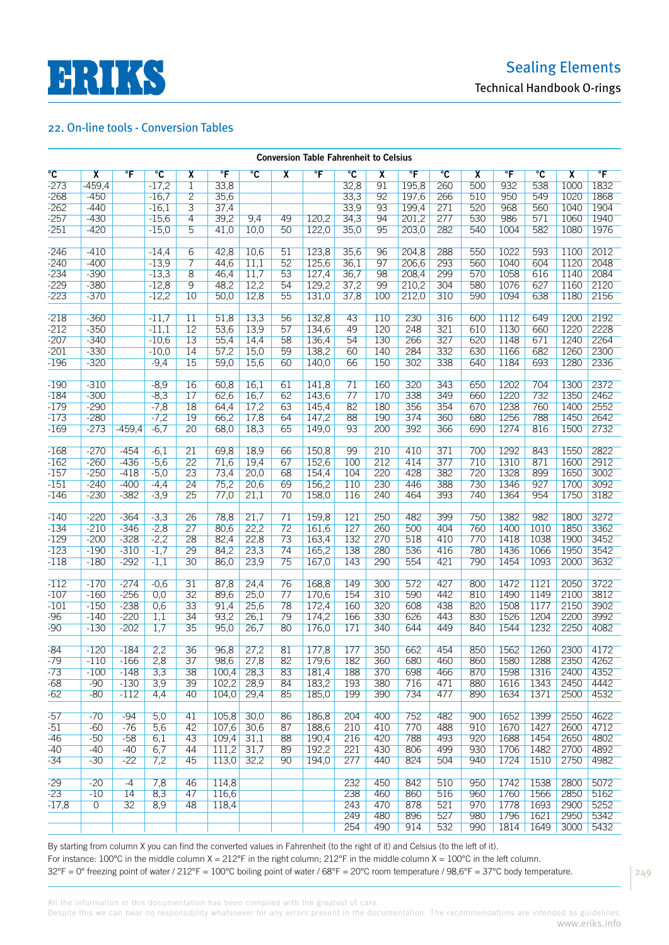



|                | <b>Conversion Table Fahrenheit to Celsius</b> |                        |                |                         |                      |                       |                         |                         |                |                         |                 |                |     |                      |              |                         |                      |
|----------------|-----------------------------------------------|------------------------|----------------|-------------------------|----------------------|-----------------------|-------------------------|-------------------------|----------------|-------------------------|-----------------|----------------|-----|----------------------|--------------|-------------------------|----------------------|
| $\overline{c}$ | $\overline{\mathbf{x}}$                       | $\overline{\text{}}$ F | $\overline{c}$ | $\overline{\mathbf{x}}$ | $\overline{\text{}}$ | $\overline{\text{c}}$ | $\overline{\mathbf{x}}$ | $\overline{\mathsf{F}}$ | $\overline{c}$ | $\overline{\mathbf{x}}$ | $\overline{\ }$ | $\overline{c}$ | χ   | $\overline{\text{}}$ | $\mathrm{C}$ | $\overline{\mathbf{x}}$ | $\overline{\text{}}$ |
| $-273$         | $-459,4$                                      |                        | $-17,2$        | $\overline{1}$          | 33,8                 |                       |                         |                         | 32,8           | 91                      | 195,8           | 260            | 500 | 932                  | 538          | 1000                    | 1832                 |
| $-268$         | $-450$                                        |                        | $-16,7$        | $\overline{2}$          | 35,6                 |                       |                         |                         | 33,3           | 92                      | 197,6           | 266            | 510 | 950                  | 549          | 1020                    | 1868                 |
| $-262$         | $-440$                                        |                        | $-16,1$        | $\overline{3}$          | 37,4                 |                       |                         |                         | 33,9           | 93                      | 199,4           | 271            | 520 | 968                  | 560          | 1040                    | 1904                 |
|                |                                               |                        |                |                         |                      |                       |                         |                         |                |                         |                 |                |     |                      |              |                         |                      |
| $-257$         | $-430$                                        |                        | $-15,6$        | 4                       | 39,2                 | 9,4                   | 49                      | 120,2                   | 34,3           | 94                      | 201,2           | 277            | 530 | 986                  | 571          | 1060                    | 1940                 |
| $-251$         | $-420$                                        |                        | $-15,0$        | 5                       | 41,0                 | 10,0                  | 50                      | 122,0                   | 35,0           | 95                      | 203,0           | 282            | 540 | 1004                 | 582          | 1080                    | 1976                 |
| $-246$         | $-410$                                        |                        | $-14,4$        | 6                       | 42,8                 | 10,6                  | 51                      | 123,8                   | 35,6           | 96                      | 204,8           | 288            | 550 | 1022                 | 593          | 1100                    | 2012                 |
| $-240$         | $-400$                                        |                        | $-13,9$        | 7                       | 44,6                 | 11,1                  | 52                      | 125,6                   | 36,1           | 97                      | 206,6           | 293            | 560 | 1040                 | 604          | 1120                    | 2048                 |
| $-234$         | $-390$                                        |                        | $-13,3$        | 8                       | 46,4                 | 11,7                  | 53                      | 127,4                   | 36,7           | 98                      | 208,4           | 299            | 570 | 1058                 | 616          | 1140                    | 2084                 |
| $-229$         | $-380$                                        |                        | $-12,8$        | 9                       | 48,2                 | 12,2                  | 54                      | 129,2                   | 37,2           | 99                      | 210,2           | 304            | 580 | 1076                 | 627          | 1160                    | 2120                 |
| $-223$         | $-370$                                        |                        | $-12,2$        | 10                      | 50,0                 | 12,8                  | 55                      | 131,0                   | 37,8           | 100                     | 212,0           | 310            | 590 | 1094                 | 638          | 1180                    | 2156                 |
|                |                                               |                        |                |                         |                      |                       |                         |                         |                |                         |                 |                |     |                      |              |                         |                      |
| $-218$         | $-360$                                        |                        | $-11,7$        | $\overline{11}$         | 51,8                 | 13,3                  | 56                      | 132.8                   | 43             | 110                     | 230             | 316            | 600 | 1112                 | 649          | 1200                    | 2192                 |
| $-212$         | $-350$                                        |                        | $-11,1$        | 12                      | 53,6                 | 13,9                  | 57                      | 134,6                   | 49             | 120                     | 248             | 321            | 610 | 1130                 | 660          | 1220                    | 2228                 |
| $-207$         | $-340$                                        |                        | $-10,6$        | 13                      | 55,4                 | 14,4                  | 58                      | 136,4                   | 54             | 130                     | 266             | 327            | 620 | 1148                 | 671          | 1240                    | 2264                 |
| $-201$         | $-330$                                        |                        | $-10,0$        | 14                      | 57,2                 | 15,0                  | 59                      | 138,2                   | 60             | 140                     | 284             | 332            | 630 | 1166                 | 682          | 1260                    | 2300                 |
| $-196$         | $-320$                                        |                        | $-9,4$         | 15                      | 59,0                 | 15,6                  | 60                      | 140,0                   | 66             | 150                     | 302             | 338            | 640 | 1184                 | 693          | 1280                    | 2336                 |
|                |                                               |                        |                |                         |                      |                       |                         |                         |                |                         |                 |                |     |                      |              |                         |                      |
| $-190$         | $-310$                                        |                        | $-8,9$         | 16                      | 60,8                 | 16,1                  | 61                      | 141,8                   | 71             | 160                     | 320             | 343            | 650 | 1202                 | 704          | 1300                    | 2372                 |
| $-184$         | $-300$                                        |                        | $-8,3$         | 17                      | 62,6                 | 16,7                  | 62                      | 143,6                   | 77             | 170                     | 338             | 349            | 660 | 1220                 | 732          | 1350                    | 2462                 |
| $-179$         | $-290$                                        |                        | $-7,8$         | 18                      | 64,4                 | 17,2                  | 63                      | 145,4                   | 82             | 180                     | 356             | 354            | 670 | 1238                 | 760          | 1400                    | 2552                 |
| $-173$         | $-280$                                        |                        | $-7,2$         | 19                      | 66,2                 | 17,8                  | 64                      | 147,2                   | 88             | 190                     | 374             | 360            | 680 | 1256                 | 788          | 1450                    | 2642                 |
| $-169$         | $-273$                                        | $-459,4$               | $-6,7$         | 20                      | 68,0                 | 18,3                  | 65                      | 149,0                   | 93             | 200                     | 392             | 366            | 690 | 1274                 | 816          | 1500                    | 2732                 |
|                |                                               |                        |                |                         |                      |                       |                         |                         |                |                         |                 |                |     |                      |              |                         |                      |
| $-168$         | $-270$                                        | $-454$                 | $-6,1$         | 21                      | 69,8                 | 18,9                  | 66                      | 150,8                   | 99             | 210                     | 410             | 371            | 700 | 1292                 | 843          | 1550                    | 2822                 |
| $-162$         | $-260$                                        | $-436$                 | $-5,6$         | 22                      | 71,6                 | 19,4                  | 67                      | 152,6                   | 100            | 212                     | 414             | 377            | 710 | 1310                 | 871          | 1600                    | 2912                 |
| $-157$         | $-250$                                        | $-418$                 | $-5,0$         | 23                      | 73,4                 | 20,0                  | 68                      | 154,4                   | 104            | 220                     | 428             | 382            | 720 | 1328                 | 899          | 1650                    | 3002                 |
| $-151$         | $-240$                                        | $-400$                 | $-4,4$         | 24                      | 75,2                 | 20,6                  | 69                      | 156,2                   | 110            | 230                     | 446             | 388            | 730 | 1346                 | 927          | 1700                    | 3092                 |
| $-146$         | $-230$                                        | $-382$                 | $-3,9$         | 25                      | 77,0                 | 21,1                  | 70                      | 158,0                   | 116            | 240                     | 464             | 393            | 740 | 1364                 | 954          | 1750                    | 3182                 |
|                |                                               |                        |                |                         |                      |                       |                         |                         |                |                         |                 |                |     |                      |              |                         |                      |
| $-140$         | $-220$                                        | $-364$                 | $-3,3$         | 26                      | 78,8                 | 21,7                  | 71                      | 159,8                   | 121            | 250                     | 482             | 399            | 750 | 1382                 | 982          | 1800                    | 3272                 |
| $-134$         | $-210$                                        | $-346$                 | $-2,8$         | 27                      | 80,6                 | 22,2                  | 72                      | 161,6                   | 127            | 260                     | 500             | 404            | 760 | 1400                 | 1010         | 1850                    | 3362                 |
| $-129$         | $-200$                                        | $-328$                 | $-2,2$         | 28                      | 82,4                 | 22,8                  | 73                      | 163,4                   | 132            | 270                     | 518             | 410            | 770 | 1418                 | 1038         | 1900                    | 3452                 |
| $-123$         | $-190$                                        | $-310$                 | $-1,7$         | 29                      | 84,2                 | 23,3                  | 74                      | 165,2                   | 138            | 280                     | 536             | 416            | 780 | 1436                 | 1066         | 1950                    | 3542                 |
| $-118$         | $-180$                                        | $-292$                 | $-1,1$         | 30                      | 86,0                 | 23,9                  | 75                      | 167,0                   | 143            | 290                     | 554             | 421            | 790 | 1454                 | 1093         | 2000                    | 3632                 |
|                |                                               |                        |                |                         |                      |                       |                         |                         |                |                         |                 |                |     |                      |              |                         |                      |
| $-112$         | $-170$                                        | $-274$                 | $-0,6$         | 31                      | 87,8                 | 24,4                  | 76                      | 168,8                   | 149            | 300                     | 572             | 427            | 800 | 1472                 | 1121         | 2050                    | 3722                 |
| $-107$         | $-160$                                        | $-256$                 | 0,0            | 32                      | 89,6                 | 25,0                  | 77                      | 170,6                   | 154            | 310                     | 590             | 442            | 810 | 1490                 | 1149         | 2100                    | 3812                 |
| $-101$         | $-150$                                        | $-238$                 | 0,6            | 33                      | 91,4                 | 25,6                  | 78                      | 172,4                   | 160            | 320                     | 608             | 438            | 820 | 1508                 | 1177         | 2150                    | 3902                 |
| $-96$          | $-140$                                        | $-220$                 | 1,1            | 34                      | 93,2                 | 26,1                  | 79                      | 174,2                   | 166            | 330                     | 626             | 443            | 830 | 1526                 | 1204         | 2200                    | 3992                 |
| $-90$          | $-130$                                        | $-202$                 | 1,7            | 35                      | 95,0                 | 26,7                  | 80                      | 176,0                   | 171            | 340                     | 644             | 449            | 840 | 1544                 | 1232         | 2250                    | 4082                 |
|                |                                               |                        |                |                         |                      |                       |                         |                         |                |                         |                 |                |     |                      |              |                         |                      |
| $-84$          | $-120$                                        | $-184$                 | 2,2            | 36                      | 96,8                 | 27,2                  | 81                      | 177,8                   | 177            | 350                     | 662             | 454            | 850 | 1562                 | 1260         | 2300                    | 4172                 |
| $-79$          | $-110$                                        | $-166$                 | 2,8            | 37                      | 98,6                 | 27,8                  | 82                      | 179,6                   | 182            | 360                     | 680             | 460            | 860 | 1580                 | 1288         | 2350                    | 4262                 |
| $-73$          | $-100$                                        | $-148$                 | 3,3            | 38                      | 100,4                | 28,3                  | 83                      | 181,4                   | 188            | 370                     | 698             | 466            | 870 | 1598                 | 1316         | 2400                    | 4352                 |
| $-68$          | $-90$                                         | $-130$                 | 3,9            | 39                      | 102,2                | 28,9                  | 84                      | 183,2                   | 193            | 380                     | 716             | 471            | 880 | 1616                 | 1343         | 2450                    | 4442                 |
| $-62$          | -80                                           | $-112$                 | 4,4            | 40                      | 104,0                | 29,4                  | 85                      | 185,0                   | 199            | 390                     | 734             | 477            | 890 | 1634                 | 1371         | 2500                    | 4532                 |
|                |                                               |                        |                |                         |                      |                       |                         |                         |                |                         |                 |                |     |                      |              |                         |                      |
| $-57$          | $-70$                                         | $-94$                  | 5,0            | 41                      | 105,8                | 30,0                  | 86                      | 186,8                   | 204            | 400                     | 752             | 482            | 900 | 1652                 | 1399         | 2550                    | 4622                 |
| $-51$          | $-60$                                         | $-76$                  | 5,6            | 42                      | 107,6                | 30,6                  | 87                      | 188,6                   | 210            | 410                     | 770             | 488            | 910 | 1670                 | 1427         | 2600                    | 4712                 |
| $-46$          | $-50$                                         | $-58$                  | 6,1            | 43                      | 109,4                | 31,1                  | 88                      | 190,4                   | 216            | 420                     | 788             | 493            | 920 | 1688                 | 1454         | 2650                    | 4802                 |
| $-40$          | $-40$                                         | $-40$                  | 6,7            | 44                      | 111,2                | 31,7                  | 89                      | 192,2                   | 221            | 430                     | 806             | 499            | 930 | 1706                 | 1482         | 2700                    | 4892                 |
| $-34$          | $-30$                                         | $-22$                  | 7,2            | 45                      | 113,0                | 32,2                  | 90                      | 194,0                   | 277            | 440                     | 824             | 504            | 940 | 1724                 | 1510         | 2750                    | 4982                 |
|                |                                               |                        |                |                         |                      |                       |                         |                         |                |                         |                 |                |     |                      |              |                         |                      |
| $-29$          | $-20$                                         | $-4$                   | 7,8            | 46                      | 114.8                |                       |                         |                         | 232            | 450                     | 842             | 510            | 950 | 1742                 | 1538         | 2800                    | 5072                 |
| $-23$          | $-10$                                         | 14                     | 8,3            | 47                      | 116,6                |                       |                         |                         | 238            | 460                     | 860             | 516            | 960 | 1760                 | 1566         | 2850                    | 5162                 |
| $-17,8$        | $\overline{0}$                                | 32                     | 8,9            | 48                      | 118,4                |                       |                         |                         | 243            | 470                     | 878             | 521            | 970 | 1778                 | 1693         | 2900                    | 5252                 |
|                |                                               |                        |                |                         |                      |                       |                         |                         | 249            | 480                     | 896             | 527            | 980 | 1796                 | 1621         | 2950                    | 5342                 |
|                |                                               |                        |                |                         |                      |                       |                         |                         | 254            | 490                     | 914             | 532            | 990 | 1814                 | 1649         | 3000                    | 5432                 |

By starting from column X you can find the converted values in Fahrenheit (to the right of it) and Celsius (to the left of it). For instance: 100°C in the middle column X = 212°F in the right column; 212°F in the middle column X = 100°C in the left column. 32°F = 0° freezing point of water / 212°F = 100°C boiling point of water / 68°F = 20°C room temperature / 98,6°F = 37°C body temperature.

249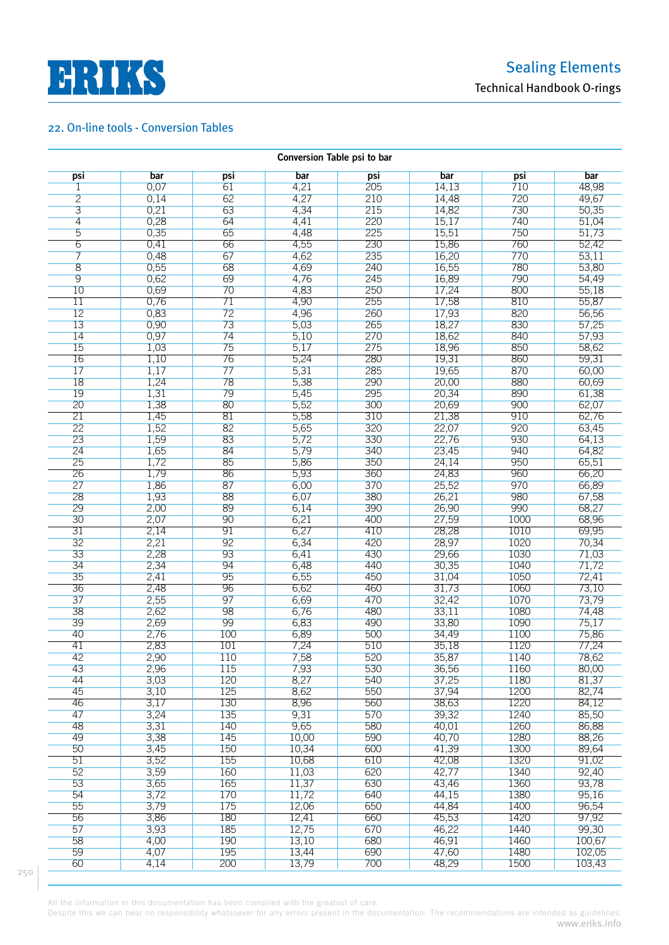

|                 |      |                 | Conversion Table psi to bar |     |       |      |        |
|-----------------|------|-----------------|-----------------------------|-----|-------|------|--------|
| psi             | bar  | psi             | bar                         | psi | bar   | psi  | bar    |
| 1               | 0,07 | 61              | 4,21                        | 205 | 14,13 | 710  | 48,98  |
| $\overline{2}$  | 0,14 | 62              | 4,27                        | 210 | 14,48 | 720  | 49,67  |
| $\overline{3}$  | 0,21 | 63              | 4,34                        | 215 | 14,82 | 730  | 50,35  |
| $\overline{4}$  | 0,28 | 64              | 4,41                        | 220 | 15,17 | 740  | 51,04  |
| 5               | 0,35 | 65              |                             | 225 | 15,51 | 750  |        |
|                 |      |                 | 4,48                        |     |       |      | 51,73  |
| $\overline{6}$  | 0,41 | 66              | 4,55                        | 230 | 15,86 | 760  | 52,42  |
| 7               | 0,48 | 67              | 4,62                        | 235 | 16,20 | 770  | 53,11  |
| 8               | 0,55 | 68              | 4,69                        | 240 | 16,55 | 780  | 53,80  |
| $\overline{9}$  | 0,62 | 69              | 4,76                        | 245 | 16,89 | 790  | 54,49  |
| 10              | 0,69 | 70              | 4,83                        | 250 | 17,24 | 800  | 55,18  |
| 11              | 0,76 | 71              | 4,90                        | 255 | 17,58 | 810  | 55,87  |
| 12              | 0,83 | 72              | 4,96                        | 260 | 17,93 | 820  | 56,56  |
| 13              | 0,90 | 73              | 5,03                        | 265 | 18,27 | 830  | 57,25  |
| 14              | 0,97 | 74              | 5,10                        | 270 | 18,62 | 840  | 57,93  |
| 15              | 1,03 | 75              | 5,17                        | 275 | 18,96 | 850  | 58,62  |
| 16              | 1,10 | 76              | 5,24                        | 280 | 19,31 | 860  | 59,31  |
| 17              |      | 77              |                             |     |       | 870  |        |
|                 | 1,17 |                 | 5,31                        | 285 | 19,65 |      | 60,00  |
| 18              | 1,24 | 78              | 5,38                        | 290 | 20,00 | 880  | 60,69  |
| 19              | 1,31 | 79              | 5,45                        | 295 | 20,34 | 890  | 61,38  |
| 20              | 1,38 | 80              | 5,52                        | 300 | 20,69 | 900  | 62,07  |
| $\overline{21}$ | 1,45 | $\overline{81}$ | 5,58                        | 310 | 21,38 | 910  | 62,76  |
| 22              | 1,52 | 82              | 5,65                        | 320 | 22,07 | 920  | 63,45  |
| 23              | 1,59 | 83              | 5,72                        | 330 | 22,76 | 930  | 64,13  |
| 24              | 1,65 | 84              | 5,79                        | 340 | 23,45 | 940  | 64,82  |
| 25              | 1,72 | 85              | 5,86                        | 350 | 24,14 | 950  | 65,51  |
| $\overline{26}$ | 1,79 | 86              | 5,93                        | 360 | 24,83 | 960  | 66,20  |
| 27              | 1,86 | 87              | 6,00                        | 370 | 25,52 | 970  | 66,89  |
| 28              | 1,93 | 88              | 6,07                        | 380 | 26,21 | 980  | 67,58  |
| 29              |      | 89              |                             | 390 |       | 990  | 68,27  |
|                 | 2,00 |                 | 6,14                        |     | 26,90 |      |        |
| 30              | 2,07 | 90              | 6,21                        | 400 | 27,59 | 1000 | 68,96  |
| 31              | 2,14 | 91              | 6,27                        | 410 | 28,28 | 1010 | 69,95  |
| 32              | 2,21 | 92              | 6,34                        | 420 | 28,97 | 1020 | 70,34  |
| 33              | 2,28 | 93              | 6,41                        | 430 | 29,66 | 1030 | 71,03  |
| 34              | 2,34 | 94              | 6,48                        | 440 | 30,35 | 1040 | 71,72  |
| 35              | 2,41 | 95              | 6,55                        | 450 | 31,04 | 1050 | 72,41  |
| 36              | 2,48 | 96              | 6,62                        | 460 | 31,73 | 1060 | 73,10  |
| 37              | 2,55 | 97              | 6,69                        | 470 | 32,42 | 1070 | 73,79  |
| 38              | 2,62 | 98              | 6,76                        | 480 | 33,11 | 1080 | 74,48  |
| 39              | 2,69 | 99              | 6,83                        | 490 | 33,80 | 1090 | 75,17  |
| 40              | 2,76 | 100             | 6,89                        | 500 | 34,49 | 1100 | 75,86  |
| 41              |      | 101             |                             |     |       |      |        |
|                 | 2,83 |                 | 7,24                        | 510 | 35,18 | 1120 | 77,24  |
| 42              | 2,90 | 110             | 7,58                        | 520 | 35,87 | 1140 | 78,62  |
| 43              | 2,96 | 115             | 7,93                        | 530 | 36,56 | 1160 | 80,00  |
| 44              | 3,03 | 120             | 8,27                        | 540 | 37,25 | 1180 | 81,37  |
| 45              | 3,10 | 125             | 8,62                        | 550 | 37,94 | 1200 | 82,74  |
| 46              | 3,17 | 130             | 8,96                        | 560 | 38,63 | 1220 | 84,12  |
| 47              | 3,24 | 135             | 9,31                        | 570 | 39,32 | 1240 | 85,50  |
| 48              | 3,31 | 140             | 9,65                        | 580 | 40,01 | 1260 | 86,88  |
| 49              | 3,38 | 145             | 10,00                       | 590 | 40,70 | 1280 | 88,26  |
| 50              | 3,45 | 150             | 10,34                       | 600 | 41,39 | 1300 | 89,64  |
| 51              | 3,52 | 155             | 10,68                       | 610 | 42,08 | 1320 | 91,02  |
| 52              | 3,59 | 160             | 11,03                       | 620 | 42,77 | 1340 | 92,40  |
| 53              | 3,65 | 165             | 11,37                       | 630 |       | 1360 | 93,78  |
|                 |      |                 |                             |     | 43,46 |      |        |
| 54              | 3,72 | 170             | 11,72                       | 640 | 44,15 | 1380 | 95,16  |
| 55              | 3,79 | 175             | 12,06                       | 650 | 44,84 | 1400 | 96,54  |
| 56              | 3,86 | 180             | 12,41                       | 660 | 45,53 | 1420 | 97,92  |
| 57              | 3,93 | 185             | 12,75                       | 670 | 46,22 | 1440 | 99,30  |
| 58              | 4,00 | 190             | 13,10                       | 680 | 46,91 | 1460 | 100,67 |
| 59              | 4,07 | 195             | 13,44                       | 690 | 47,60 | 1480 | 102,05 |
| 60              | 4,14 | 200             | 13,79                       | 700 | 48,29 | 1500 | 103,43 |

All the information in this documentation has been compiled with the greatest of care.

Despite this we can bear no responsibility whatsoever for any errors present in the documentation. The recommendations are intended as guidelines. www.eriks.info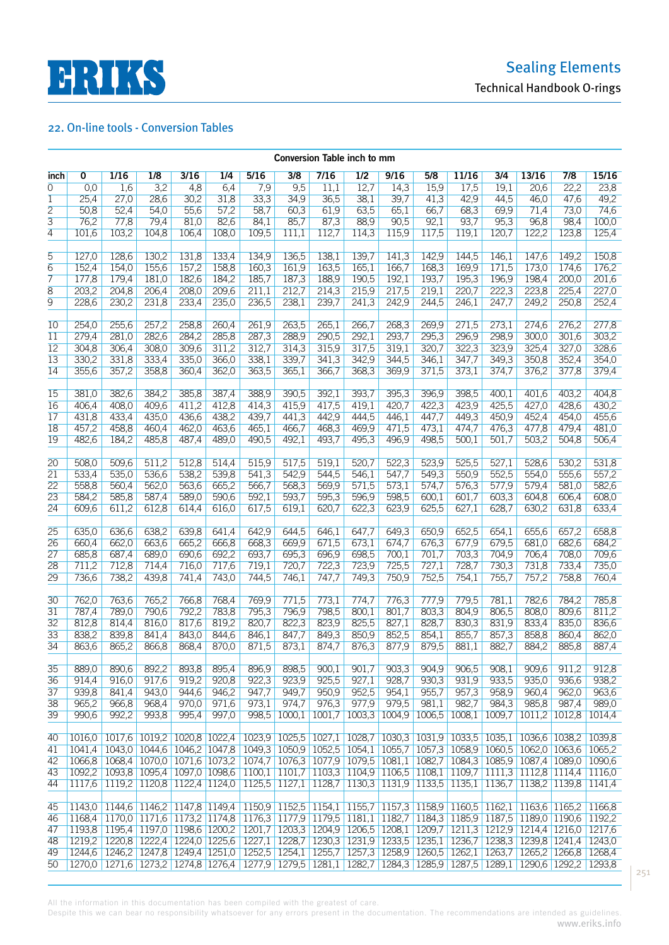

|                 | Conversion Table inch to mm |                |                             |       |                |                                                                                                                 |               |        |                 |                                                                       |                |        |                |                                           |               |                |
|-----------------|-----------------------------|----------------|-----------------------------|-------|----------------|-----------------------------------------------------------------------------------------------------------------|---------------|--------|-----------------|-----------------------------------------------------------------------|----------------|--------|----------------|-------------------------------------------|---------------|----------------|
| inch            | 0                           | 1/16           | 1/8                         | 3/16  | 1/4            | 5/16                                                                                                            | 3/8           | 7/16   | 1/2             | 9/16                                                                  | 5/8            | 11/16  | 3/4            | 13/16                                     | 7/8           | 15/16          |
| $\overline{0}$  | 0,0                         | 1,6            | 3,2                         | 4,8   | 6,4            | 7,9                                                                                                             | 9,5           | 11,1   | 12,7            | 14,3                                                                  | 15,9           | 17,5   | 19,1           | 20,6                                      | 22,2          | 23,8           |
| $\mathbf{1}$    | 25,4                        | 27,0           | 28,6                        | 30,2  | 31,8           | 33,3                                                                                                            | 34,9          | 36,5   | 38,1            | 39,7                                                                  | 41,3           | 42,9   | 44,5           | 46,0                                      | 47,6          | 49,2           |
| $\overline{2}$  | 50,8                        | 52,4           | 54,0                        | 55,6  | 57,2           | 58,7                                                                                                            | 60,3          | 61,9   | 63,5            | 65,1                                                                  | 66,7           | 68,3   | 69,9           | 71,4                                      | 73,0          | 74,6           |
| 3               | 76,2                        | 77,8           | 79,4                        | 81,0  | 82,6           | 84,1                                                                                                            | 85,7          | 87,3   | 88,9            | 90,5                                                                  | 92,1           | 93,7   | 95,3           | 96,8                                      | 98,4          | 100,0          |
| 4               | 101,6                       | 103,2          | 104,8                       | 106,4 | 108,0          | 109,5                                                                                                           | 111,1         | 112,7  | 114,3           | 115,9                                                                 | 117,5          | 119,1  | 120,7          | 122,2                                     | 123,8         | 125,4          |
|                 |                             |                |                             |       |                |                                                                                                                 |               |        |                 |                                                                       |                |        |                |                                           |               |                |
| 5               | 127,0                       | 128,6          | 130,2                       | 131,8 | 133,4          | 134,9                                                                                                           | 136,5         | 138,1  | 139,7           | 141,3                                                                 | 142,9          | 144,5  | 146,1          | 147,6                                     | 149,2         | 150,8          |
| 6               | 152,4                       | 154,0          | 155,6                       | 157,2 | 158,8          | 160,3                                                                                                           | 161,9         | 163,5  | 165,1           | 166,7                                                                 | 168,3          | 169,9  | 171,5          | 173,0                                     | 174,6         | 176,2          |
| 7               | 177,8                       | 179,4          | 181,0                       | 182,6 | 184,2          | 185,7                                                                                                           | 187,3         | 188,9  | 190,5           | 192,1                                                                 | 193,7          | 195,3  | 196,9          | 198,4                                     | 200.0         | 201,6          |
| 8               | 203,2                       | 204,8          | 206,4                       | 208,0 | 209,6          | 211,1                                                                                                           | 212,7         | 214,3  | 215,9           | 217,5                                                                 | 219,1          | 220,7  | 222,3          | 223,8                                     | 225,4         | 227,0          |
| 9               | 228,6                       | 230,2          | 231,8                       | 233,4 | 235,0          | 236,5                                                                                                           | 238,1         | 239,7  | 241,3           | 242,9                                                                 | 244,5          | 246,1  | 247,7          | 249,2                                     | 250,8         | 252,4          |
|                 |                             |                |                             |       |                |                                                                                                                 |               |        |                 |                                                                       |                |        |                |                                           |               |                |
| 10              | 254,0                       | 255,6          | 257,2                       | 258,8 | 260,4          | 261,9                                                                                                           | 263,5         | 265,1  | 266,7           | 268,3                                                                 | 269,9          | 271,5  | 273,1          | 274,6                                     | 276,2         | 277,8          |
| $\overline{11}$ | 279,4                       | 281,0          | 282,6                       | 284,2 | 285,8          | 287,3                                                                                                           | 288,9         | 290,5  | 292,1           | 293,7                                                                 | 295,3          | 296,9  | 298,9          | 300,0                                     | 301,6         | 303,2          |
| $\overline{12}$ | 304,8                       | 306,4          | 308,0                       | 309,6 | 311,2          | 312,7                                                                                                           | 314,3         | 315,9  | 317,5           | 319,1                                                                 | 320,7          | 322,3  | 323,9          | 325,4                                     | 327,0         | 328,6          |
| 13              | 330,2                       | 331,8          | 333,4                       | 335,0 | 366,0          | 338,1                                                                                                           | 339,7         | 341,3  | 342,9           | 344,5                                                                 | 346,1          | 347,7  | 349,3          | 350,8                                     | 352,4         | 354,0          |
| 14              | 355,6                       | 357,2          | 358,8                       | 360,4 | 362,0          | 363,5                                                                                                           | 365,1         | 366,7  | 368,3           | 369,9                                                                 | 371,5          | 373,1  | 374,7          | 376,2                                     | 377,8         | 379,4          |
|                 |                             |                |                             |       |                |                                                                                                                 |               |        |                 |                                                                       |                |        |                |                                           |               |                |
| $\overline{15}$ | 381,0                       | 382,6          | 384,2                       | 385,8 | 387,4          | 388,9                                                                                                           | 390,5         | 392,1  | 393,7           | 395,3                                                                 | 396,9          | 398,5  | 400,1          | 401,6                                     | 403,2         | 404,8          |
| 16              | 406,4                       | 408,0          | 409,6                       | 411,2 | 412,8          | 414,3                                                                                                           | 415,9         | 417,5  | 419,1           | 420,7                                                                 | 422,3          | 423,9  | 425,5          | 427,0                                     | 428.6         | 430,2          |
| 17              | 431,8                       | 433,4          | 435,0                       | 436,6 | 438,2          | 439,7                                                                                                           | 441,3         | 442,9  | 444,5           | 446,1                                                                 | 447,7          | 449,3  | 450,9          | 452,4                                     | 454,0         | 455,6          |
| 18              | 457,2                       | 458,8          | 460.4                       | 462,0 | 463,6          | 465,1                                                                                                           | 466,7         | 468,3  | 469,9           | 471,5                                                                 | 473,1          | 474,7  | 476,3          | 477,8                                     | 479.4         | 481,0          |
| 19              | 482,6                       | 184,2          | 485,8                       | 487,4 | 489,0          | 490,5                                                                                                           | 492,1         | 493,7  | 495,3           | 496,9                                                                 | 498,5          | 500,1  | 501,7          | 503,2                                     | 504,8         | 506,4          |
|                 |                             |                |                             |       |                |                                                                                                                 |               |        |                 |                                                                       |                |        |                |                                           |               |                |
| $\overline{20}$ | 508,0                       | 509,6          | 511,2                       | 512,8 | 514,4          | 515,9                                                                                                           | 517,5         | 519,1  | 520,7           | 522,3                                                                 | 523,9          | 525,5  | 527,1          | 528,6                                     | 530,2         | 531,8          |
| 21              | 533,4                       | 535,0          | 536,6                       | 538,2 | 539,8          | 541,3                                                                                                           | 542,9         | 544,5  | 546,1           | 547,7                                                                 | 549,3          | 550,9  | 552,5          | 554,0                                     | 555,6         | 557,2          |
| $\overline{22}$ | 558,8                       | 560,4          | 562,0                       | 563,6 | 665,2          | 566,7                                                                                                           | 568,3         | 569,9  | 571,5           | 573,1                                                                 | 574,7          | 576,3  | 577,9          | 579,4                                     | 581,0         | 582,6          |
| 23              | 584,2                       | 585,8          | 587,4                       | 589,0 | 590,6          | 592,1                                                                                                           | 593,7         | 595,3  | 596,9           | 598,5                                                                 | 600,1          | 601,7  | 603,3          | 604,8                                     | 606,4         | 608,0          |
| $\overline{24}$ | 609,6                       | 611,2          | 612,8                       | 614,4 | 616,0          | 617,5                                                                                                           | 619,1         | 620,7  | 622,3           | 623,9                                                                 | 625,5          | 627,1  | 628,7          | 630,2                                     | 631,8         | 633,4          |
|                 |                             |                |                             |       |                |                                                                                                                 |               |        |                 |                                                                       |                |        |                |                                           |               |                |
| 25              | 635,0                       | 636,6          | 638,2                       | 639,8 | 641,4          | 642,9                                                                                                           | 644,5         | 646,1  | 647,7           | 649,3                                                                 | 650,9          | 652,5  | 654,1          | 655,6                                     | 657,2         | 658,8          |
| 26              | 660,4                       | 662,0<br>687,4 | 663,6                       | 665,2 | 666,8          | 668,3                                                                                                           | 669,9         | 671,5  | 673,1           | 674,7                                                                 | 676,3          | 677,9  | 679,5          | 681,0                                     | 682,6         | 684,2          |
| $\overline{27}$ | 685,8                       |                | 689,0<br>714,4              | 690,6 | 692,2          | 693,7                                                                                                           | 695,3         | 696,9  | 698,5<br>723,9  | 700,1<br>725,5                                                        | 701,7          | 703,3  | 704,9          | 706,4<br>731,8                            | 708,0         | 709,6<br>735,0 |
| 28              | 711,2                       | 712,8          |                             | 716,0 | 717,6<br>743,0 | 719,1                                                                                                           | 720,7         | 722,3  | 749,3           | 750,9                                                                 | 727,1<br>752,5 | 728,7  | 730,3<br>755,7 | 757,2                                     | 733,4         |                |
| 29              | 736,6                       | 738,2          | 439,8                       | 741,4 |                | 744,5                                                                                                           | 746,1         | 747,7  |                 |                                                                       |                | 754,1  |                |                                           | 758,8         | 760,4          |
| 30              | 762,0                       | 763,6          | 765,2                       | 766,8 | 768.4          | 769,9                                                                                                           | 771,5         | 773,1  | 774,7           | 776.3                                                                 | 777,9          | 779,5  | 781,1          | 782,6                                     | 784,2         | 785,8          |
| 31              | 787,4                       | 789,0          | 790,6                       | 792,2 | 783,8          | 795,3                                                                                                           | 796,9         | 798,5  | 800,1           | 801,7                                                                 | 803,3          | 804,9  | 806,5          | 808,0                                     | 809,6         | 811,2          |
| $\overline{32}$ | 812,8                       | 814,4          | 816,0                       | 817,6 | 819,2          | 820,7                                                                                                           | 822,3         | 823,9  | 825,5           | 827,1                                                                 | 828,7          | 830,3  | 831,9          | 833,4                                     | 835,0         | 836,6          |
| 33              | 838,2                       | 839,8          | 841,4                       | 843,0 | 844,6          | 846,1                                                                                                           | 847,7         | 849,3  | 850,9           | 852,5                                                                 | 854,1          | 855,7  | 857,3          | 858,8                                     | 860,4         | 862,0          |
| 34              | 863,6                       | 865,2          | 866,8                       | 868,4 | 870,0          | 871,5                                                                                                           | 873,1         | 874,7  | 876,3           | 877,9                                                                 | 879,5          | 881,1  | 882,7          | 884,2                                     | 885,8         | 887,4          |
|                 |                             |                |                             |       |                |                                                                                                                 |               |        |                 |                                                                       |                |        |                |                                           |               |                |
| 35              | 889,0                       | 890,6          | 892,2                       | 893,8 | 895,4          | 896,9                                                                                                           | 898,5         | 900,1  | 901,7           | 903,3                                                                 | 904,9          | 906,5  | 908,1          | 909,6                                     | 911,2         | 912,8          |
| 36              | 914,4                       | 916,0          | 917,6                       | 919,2 | 920,8          | 922,3                                                                                                           | 923,9         | 925,5  | 927,1           | 928,7                                                                 | 930,3          | 931,9  | 933,5          | 935,0                                     | 936,6         | 938,2          |
| 37              | 939,8                       | 841,4          | 943,0                       | 944,6 | 946,2          | 947,7                                                                                                           | 949,7         | 950,9  | 952,5           | 954,1                                                                 | 955,7          | 957,3  | 958,9          | 960,4                                     | 962,0         | 963,6          |
| 38              | 965,2                       | 966,8          | 968,4                       | 970,0 | 971,6          | 973,1                                                                                                           | 974.7         | 976,3  | 977,9           | 979,5                                                                 | 981,1          | 982,7  | 984,3          | 985,8                                     | 987.4         | 989,0          |
| 39              | 990,6                       | 992,2          | 993,8                       | 995,4 | 997,0          | 998,5                                                                                                           | 1000,1        | 1001,7 | 1003,3          | 1004.9                                                                | 1006,5         | 1008,1 | 1009,7         |                                           | 1011.2 1012.8 | 1014.4         |
|                 |                             |                |                             |       |                |                                                                                                                 |               |        |                 |                                                                       |                |        |                |                                           |               |                |
| 40              | 1016,0                      |                | 1017,6 1019,2 1020,8 1022,4 |       |                |                                                                                                                 | 1023,9 1025,5 |        | $1027,1$ 1028,7 |                                                                       |                |        |                | 1030,3 1031,9 1033,5 1035,1 1036,6 1038,2 |               | 1039.8         |
| 41              | 1041,4                      |                |                             |       |                | 1043,0 1044,6 1046,2 1047,8 1049,3 1050,9 1052,5 1054,1 1055,7 1057,3 1058,9 1060,5 1062,0 1063,6 1065,2        |               |        |                 |                                                                       |                |        |                |                                           |               |                |
| 42              | 1066,8                      |                | 1068,4 1070,0 1071,6 1073,2 |       |                |                                                                                                                 |               |        |                 | 1074,7 1076,3 1077,9 1079,5 1081,1 1082,7 1084,3 1085,9 1087,4 1089,0 |                |        |                |                                           |               | 1090.6         |
| 43              | 1092,2                      |                |                             |       |                | 1093,8 1095,4 1097,0 1098,6 1100,1 1101,7 1103,3 1104,9 1106,5 1108,1 1109,7 1111,3 1112,8 1114,4 1116,0        |               |        |                 |                                                                       |                |        |                |                                           |               |                |
| 44              | 1117.6                      |                |                             |       |                | 1119,2 1120,8 1122,4 1124,0 1125,5 1127,1 1128,7 1130,3 1131,9 1133,5 1135,1 1136,7 1138,2 1139,8 1141,4        |               |        |                 |                                                                       |                |        |                |                                           |               |                |
|                 |                             |                |                             |       |                |                                                                                                                 |               |        |                 |                                                                       |                |        |                |                                           |               |                |
| 45              |                             |                |                             |       |                | 1143,0 1144,6 1146,2 1147,8 1149,4 1150,9 1152,5 1154,1 1155,7 1157,3 1158,9 1160,5 1162,1 1163,6 1165,2 1166,8 |               |        |                 |                                                                       |                |        |                |                                           |               |                |
| 46              |                             |                |                             |       |                | 1168,4 1170,0 1171,6 1173,2 1174,8 1176,3 1177,9 1179,5 1181,1 1182,7 1184,3 1185,9 1187,5 1189,0 1190,6 1192,2 |               |        |                 |                                                                       |                |        |                |                                           |               |                |
| 47              | 1193.8                      |                |                             |       |                | 1195,4 1197,0 1198,6 1200,2 1201,7 1203,3 1204,9 1206,5 1208,1 1209,7 1211,3 1212,9 1214,4 1216,0 1217,6        |               |        |                 |                                                                       |                |        |                |                                           |               |                |
| 48              |                             |                |                             |       |                | 1219,2 1220,8 1222,4 1224,0 1225,6 1227,1 1228,7 1230,3 1231,9 1233,5 1235,1 1236,7 1238,3 1239,8 1241,4 1243,0 |               |        |                 |                                                                       |                |        |                |                                           |               |                |
| 49              |                             |                |                             |       |                | 1244,6 1246,2 1247,8 1249,4 1251,0 1252,5 1254,1 1255,7 1257,3 1258,9 1260,5 1262,1 1263,7 1265,2 1266,8 1268,4 |               |        |                 |                                                                       |                |        |                |                                           |               |                |
| 50              |                             |                |                             |       |                | 1270,0 1271,6 1273,2 1274,8 1276,4 1277,9 1279,5 1281,1 1282,7 1284,3 1285,9 1287,5 1289,1 1290,6 1292,2 1293,8 |               |        |                 |                                                                       |                |        |                |                                           |               |                |

All the information in this documentation has been compiled with the greatest of care.

Despite this we can bear no responsibility whatsoever for any errors present in the documentation. The recommendations are intended as guidelines.